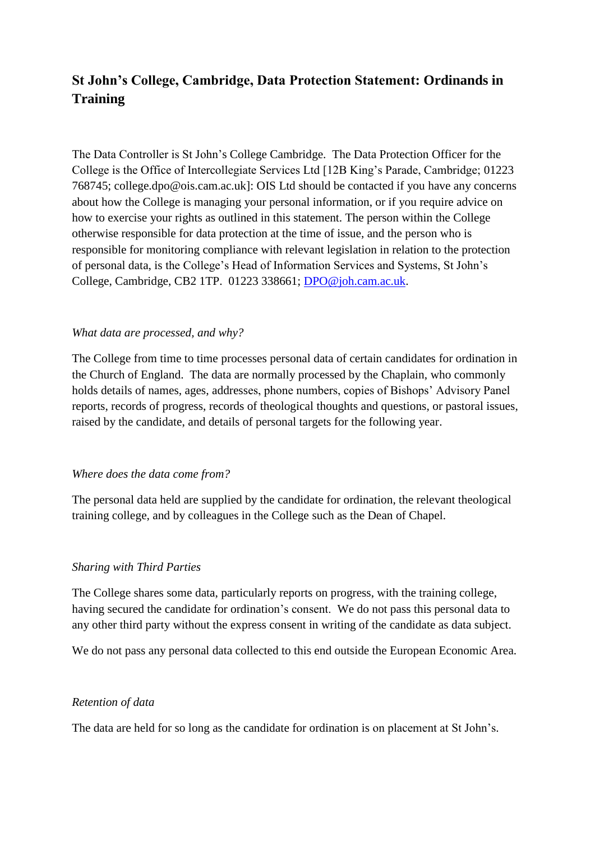# **St John's College, Cambridge, Data Protection Statement: Ordinands in Training**

The Data Controller is St John's College Cambridge. The Data Protection Officer for the College is the Office of Intercollegiate Services Ltd [12B King's Parade, Cambridge; 01223 768745; college.dpo@ois.cam.ac.uk]: OIS Ltd should be contacted if you have any concerns about how the College is managing your personal information, or if you require advice on how to exercise your rights as outlined in this statement. The person within the College otherwise responsible for data protection at the time of issue, and the person who is responsible for monitoring compliance with relevant legislation in relation to the protection of personal data, is the College's Head of Information Services and Systems, St John's College, Cambridge, CB2 1TP. 01223 338661; [DPO@joh.cam.ac.uk.](mailto:DPO@joh.cam.ac.uk)

## *What data are processed, and why?*

The College from time to time processes personal data of certain candidates for ordination in the Church of England. The data are normally processed by the Chaplain, who commonly holds details of names, ages, addresses, phone numbers, copies of Bishops' Advisory Panel reports, records of progress, records of theological thoughts and questions, or pastoral issues, raised by the candidate, and details of personal targets for the following year.

#### *Where does the data come from?*

The personal data held are supplied by the candidate for ordination, the relevant theological training college, and by colleagues in the College such as the Dean of Chapel.

#### *Sharing with Third Parties*

The College shares some data, particularly reports on progress, with the training college, having secured the candidate for ordination's consent. We do not pass this personal data to any other third party without the express consent in writing of the candidate as data subject.

We do not pass any personal data collected to this end outside the European Economic Area.

#### *Retention of data*

The data are held for so long as the candidate for ordination is on placement at St John's.